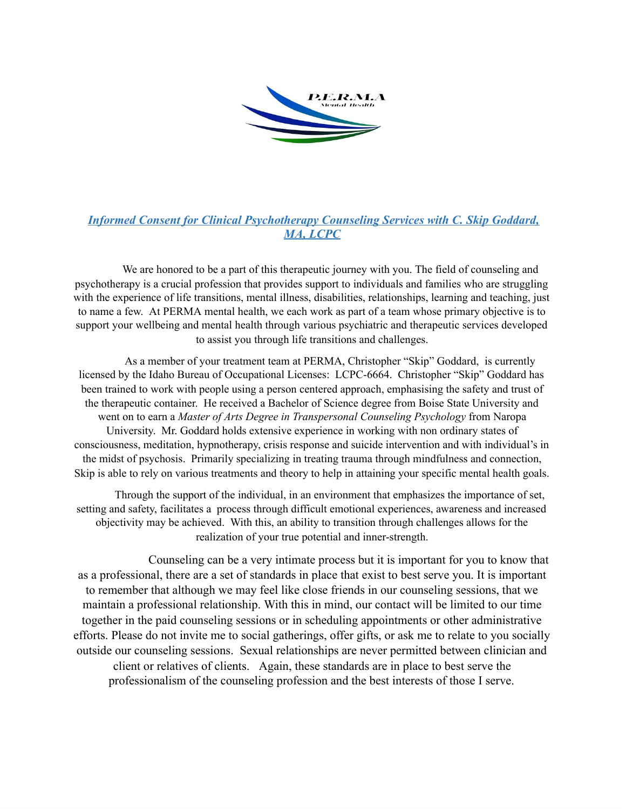

# **Informed Consent for Clinical Psychotherapy Counseling Services with C. Skip Goddard,** MA, LCPC

We are honored to be a part of this therapeutic journey with you. The field of counseling and psychotherapy is a crucial profession that provides support to individuals and families who are struggling with the experience of life transitions, mental illness, disabilities, relationships, learning and teaching, just to name a few. At PERMA mental health, we each work as part of a team whose primary objective is to support your wellbeing and mental health through various psychiatric and therapeutic services developed to assist you through life transitions and challenges.

As a member of your treatment team at PERMA, Christopher "Skip" Goddard, is currently licensed by the Idaho Bureau of Occupational Licenses: LCPC-6664. Christopher "Skip" Goddard has been trained to work with people using a person centered approach, emphasising the safety and trust of the therapeutic container. He received a Bachelor of Science degree from Boise State University and went on to earn a Master of Arts Degree in Transpersonal Counseling Psychology from Naropa University. Mr. Goddard holds extensive experience in working with non ordinary states of consciousness, meditation, hypnotherapy, crisis response and suicide intervention and with individual's in the midst of psychosis. Primarily specializing in treating trauma through mindfulness and connection, Skip is able to rely on various treatments and theory to help in attaining your specific mental health goals.

Through the support of the individual, in an environment that emphasizes the importance of set, setting and safety, facilitates a process through difficult emotional experiences, awareness and increased objectivity may be achieved. With this, an ability to transition through challenges allows for the realization of your true potential and inner-strength.

Counseling can be a very intimate process but it is important for you to know that as a professional, there are a set of standards in place that exist to best serve you. It is important to remember that although we may feel like close friends in our counseling sessions, that we maintain a professional relationship. With this in mind, our contact will be limited to our time together in the paid counseling sessions or in scheduling appointments or other administrative efforts. Please do not invite me to social gatherings, offer gifts, or ask me to relate to you socially outside our counseling sessions. Sexual relationships are never permitted between clinician and client or relatives of clients. Again, these standards are in place to best serve the professionalism of the counseling profession and the best interests of those I serve.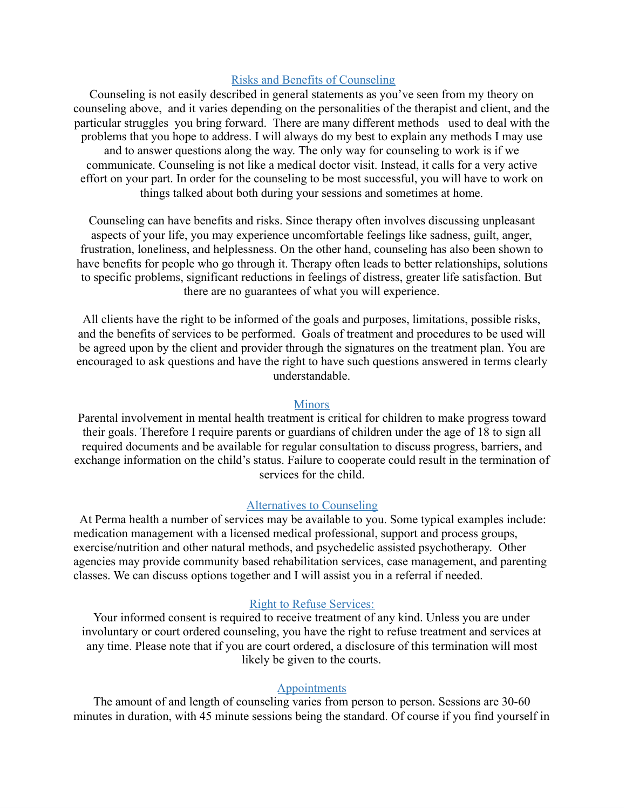## Risks and Benefits of Counseling

Counseling is not easily described in general statements as you've seen from my theory on counseling above, and it varies depending on the personalities of the therapist and client, and the particular struggles you bring forward. There are many different methods used to deal with the problems that you hope to address. I will always do my best to explain any methods I may use and to answer questions along the way. The only way for counseling to work is if we communicate. Counseling is not like a medical doctor visit. Instead, it calls for a very active effort on your part. In order for the counseling to be most successful, you will have to work on things talked about both during your sessions and sometimes at home.

Counseling can have benefits and risks. Since therapy often involves discussing unpleasant aspects of your life, you may experience uncomfortable feelings like sadness, guilt, anger, frustration, loneliness, and helplessness. On the other hand, counseling has also been shown to have benefits for people who go through it. Therapy often leads to better relationships, solutions to specific problems, significant reductions in feelings of distress, greater life satisfaction. But there are no guarantees of what you will experience.

All clients have the right to be informed of the goals and purposes, limitations, possible risks, and the benefits of services to be performed. Goals of treatment and procedures to be used will be agreed upon by the client and provider through the signatures on the treatment plan. You are encouraged to ask questions and have the right to have such questions answered in terms clearly understandable.

### **Minors**

Parental involvement in mental health treatment is critical for children to make progress toward their goals. Therefore I require parents or guardians of children under the age of 18 to sign all required documents and be available for regular consultation to discuss progress, barriers, and exchange information on the child's status. Failure to cooperate could result in the termination of services for the child.

# Alternatives to Counseling

At Perma health a number of services may be available to you. Some typical examples include: medication management with a licensed medical professional, support and process groups, exercise/nutrition and other natural methods, and psychedelic assisted psychotherapy. Other agencies may provide community based rehabilitation services, case management, and parenting classes. We can discuss options together and I will assist you in a referral if needed.

### Right to Refuse Services:

Your informed consent is required to receive treatment of any kind. Unless you are under involuntary or court ordered counseling, you have the right to refuse treatment and services at any time. Please note that if you are court ordered, a disclosure of this termination will most likely be given to the courts.

## **Appointments**

The amount of and length of counseling varies from person to person. Sessions are 30-60 minutes in duration, with 45 minute sessions being the standard. Of course if you find yourself in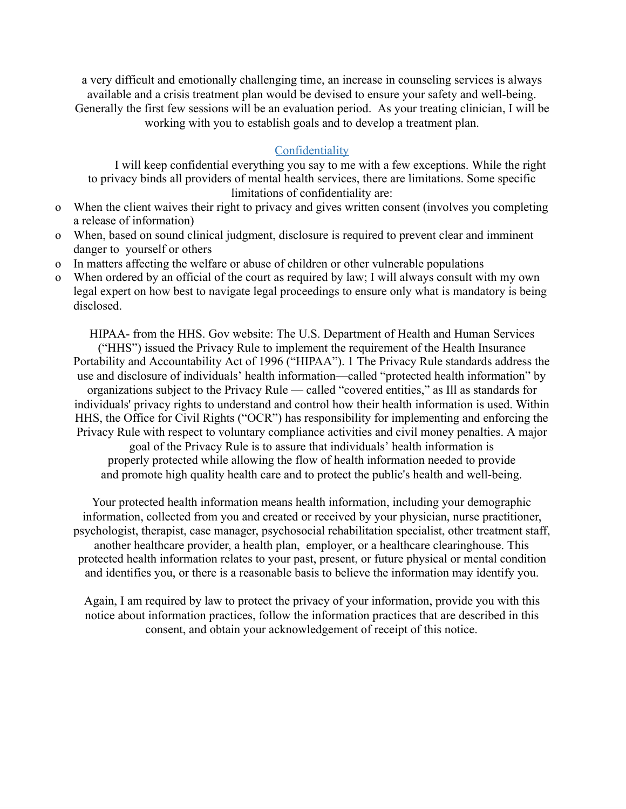a very difficult and emotionally challenging time, an increase in counseling services is always available and a crisis treatment plan would be devised to ensure your safety and well-being. Generally the first few sessions will be an evaluation period. As your treating clinician, I will be working with you to establish goals and to develop a treatment plan.

# **Confidentiality**

I will keep confidential everything you say to me with a few exceptions. While the right to privacy binds all providers of mental health services, there are limitations. Some specific limitations of confidentiality are:

- o When the client waives their right to privacy and gives written consent (involves you completing a release of information)
- o When, based on sound clinical judgment, disclosure is required to prevent clear and imminent danger to yourself or others
- o In matters affecting the welfare or abuse of children or other vulnerable populations
- o When ordered by an official of the court as required by law; I will always consult with my own legal expert on how best to navigate legal proceedings to ensure only what is mandatory is being disclosed.

HIPAA- from the HHS. Gov website: The U.S. Department of Health and Human Services ("HHS") issued the Privacy Rule to implement the requirement of the Health Insurance Portability and Accountability Act of 1996 ("HIPAA"). 1 The Privacy Rule standards address the use and disclosure of individuals' health information—called "protected health information" by organizations subject to the Privacy Rule  $\sim$  called "covered entities," as Ill as standards for individuals' privacy rights to understand and control how their health information is used. Within HHS, the Office for Civil Rights ("OCR") has responsibility for implementing and enforcing the Privacy Rule with respect to voluntary compliance activities and civil money penalties. A major goal of the Privacy Rule is to assure that individuals' health information is properly protected while allowing the flow of health information needed to provide and promote high quality health care and to protect the public's health and well-being.

Your protected health information means health information, including your demographic information, collected from you and created or received by your physician, nurse practitioner, psychologist, therapist, case manager, psychosocial rehabilitation specialist, other treatment staff, another healthcare provider, a health plan, employer, or a healthcare clearinghouse. This protected health information relates to your past, present, or future physical or mental condition and identifies you, or there is a reasonable basis to believe the information may identify you.

Again, I am required by law to protect the privacy of your information, provide you with this notice about information practices, follow the information practices that are described in this consent, and obtain your acknowledgement of receipt of this notice.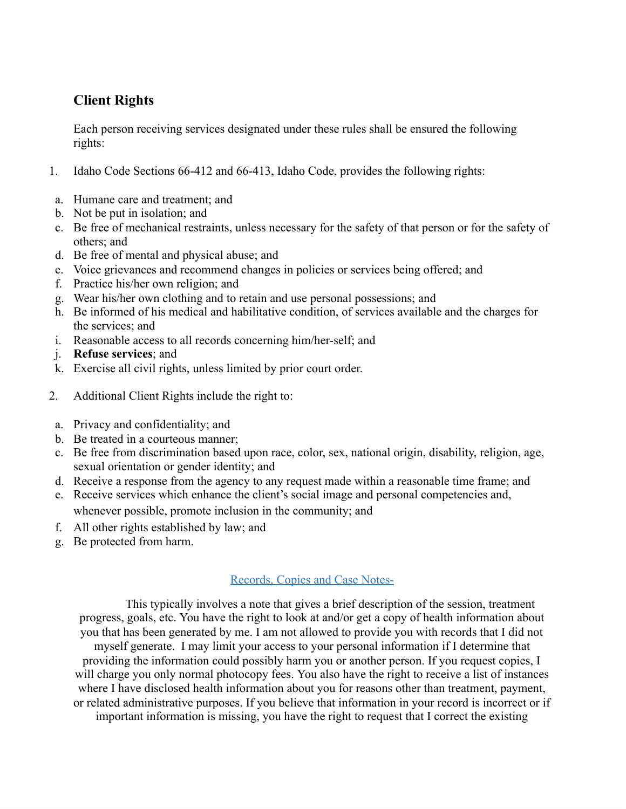# **Client Rights**

Each person receiving services designated under these rules shall be ensured the following rights:

- 1. Idaho Code Sections 66-412 and 66-413, Idaho Code, provides the following rights:
- a. Humane care and treatment; and
- b. Not be put in isolation; and
- c. Be free of mechanical restraints, unless necessary for the safety of that person or for the safety of others; and
- d. Be free of mental and physical abuse; and
- e. Voice grievances and recommend changes in policies or services being offered; and
- f. Practice his/her own religion; and
- g. Wear his/her own clothing and to retain and use personal possessions; and
- h. Be informed of his medical and habilitative condition, of services available and the charges for the services; and
- i. Reasonable access to all records concerning him/her-self; and
- j. **Refuse services**; and
- k. Exercise all civil rights, unless limited by prior court order.
- 2. Additional Client Rights include the right to:
	- a. Privacy and confidentiality; and
	- b. Be treated in a courteous manner;
	- c. Be free from discrimination based upon race, color, sex, national origin, disability, religion, age, sexual orientation or gender identity; and
	- d. Receive a response from the agency to any request made within a reasonable time frame; and
	- e. Receive services which enhance the client's social image and personal competencies and, whenever possible, promote inclusion in the community; and
	- f. All other rights established by law; and
	- g. Be protected from harm.

# Records, Copies and Case Notes-

This typically involves a note that gives a brief description of the session, treatment progress, goals, etc. You have the right to look at and/or get a copy of health information about you that has been generated by me. I am not allowed to provide you with records that I did not myself generate. I may limit your access to your personal information if I determine that providing the information could possibly harm you or another person. If you request copies, I will charge you only normal photocopy fees. You also have the right to receive a list of instances where I have disclosed health information about you for reasons other than treatment, payment, or related administrative purposes. If you believe that information in your record is incorrect or if important information is missing, you have the right to request that I correct the existing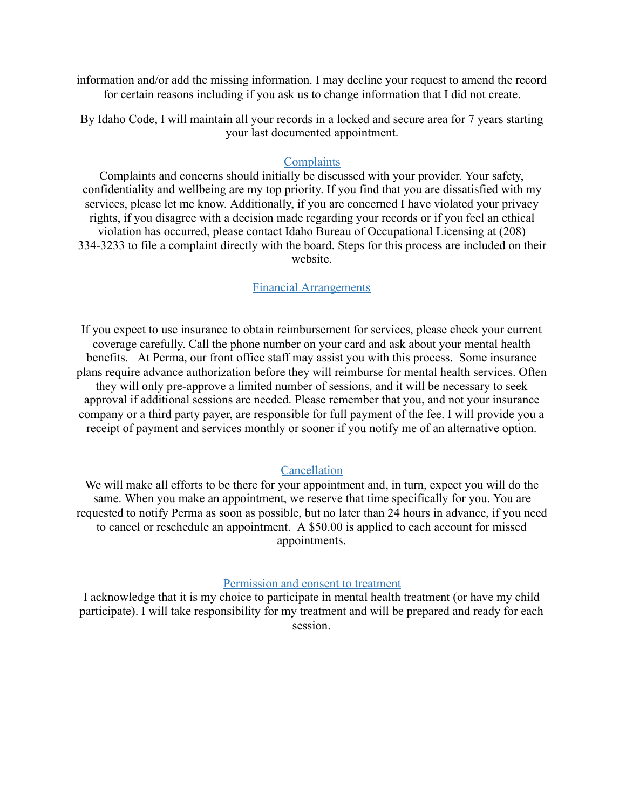information and/or add the missing information. I may decline your request to amend the record for certain reasons including if you ask us to change information that I did not create.

By Idaho Code, I will maintain all your records in a locked and secure area for 7 years starting your last documented appointment.

### **Complaints**

Complaints and concerns should initially be discussed with your provider. Your safety, confidentiality and wellbeing are my top priority. If you find that you are dissatisfied with my services, please let me know. Additionally, if you are concerned I have violated your privacy rights, if you disagree with a decision made regarding your records or if you feel an ethical violation has occurred, please contact Idaho Bureau of Occupational Licensing at (208) 334-3233 to file a complaint directly with the board. Steps for this process are included on their website.

## Financial Arrangements

If you expect to use insurance to obtain reimbursement for services, please check your current coverage carefully. Call the phone number on your card and ask about your mental health benefits. At Perma, our front office staff may assist you with this process. Some insurance plans require advance authorization before they will reimburse for mental health services. Often they will only pre-approve a limited number of sessions, and it will be necessary to seek approval if additional sessions are needed. Please remember that you, and not your insurance company or a third party payer, are responsible for full payment of the fee. I will provide you a receipt of payment and services monthly or sooner if you notify me of an alternative option.

### Cancellation

We will make all efforts to be there for your appointment and, in turn, expect you will do the same. When you make an appointment, we reserve that time specifically for you. You are requested to notify Perma as soon as possible, but no later than 24 hours in advance, if you need to cancel or reschedule an appointment. A \$50.00 is applied to each account for missed appointments.

### Permission and consent to treatment

I acknowledge that it is my choice to participate in mental health treatment (or have my child participate). I will take responsibility for my treatment and will be prepared and ready for each session.